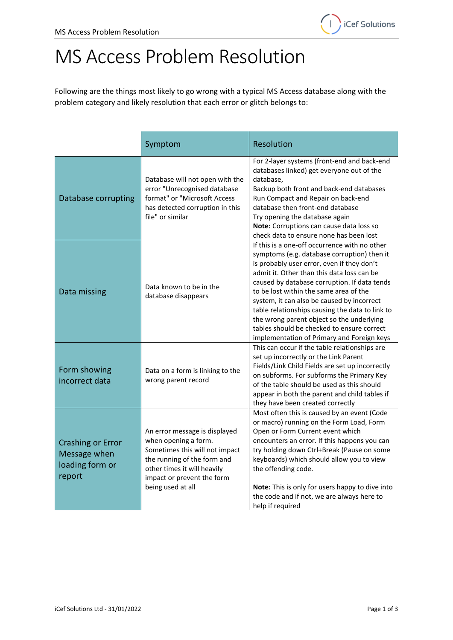## MS Access Problem Resolution

Following are the things most likely to go wrong with a typical MS Access database along with the problem category and likely resolution that each error or glitch belongs to:

|                                                                       | Symptom                                                                                                                                                                                                  | Resolution                                                                                                                                                                                                                                                                                                                                                                                                                                                                                                                   |
|-----------------------------------------------------------------------|----------------------------------------------------------------------------------------------------------------------------------------------------------------------------------------------------------|------------------------------------------------------------------------------------------------------------------------------------------------------------------------------------------------------------------------------------------------------------------------------------------------------------------------------------------------------------------------------------------------------------------------------------------------------------------------------------------------------------------------------|
| Database corrupting                                                   | Database will not open with the<br>error "Unrecognised database<br>format" or "Microsoft Access<br>has detected corruption in this<br>file" or similar                                                   | For 2-layer systems (front-end and back-end<br>databases linked) get everyone out of the<br>database,<br>Backup both front and back-end databases<br>Run Compact and Repair on back-end<br>database then front-end database<br>Try opening the database again<br>Note: Corruptions can cause data loss so<br>check data to ensure none has been lost                                                                                                                                                                         |
| Data missing                                                          | Data known to be in the<br>database disappears                                                                                                                                                           | If this is a one-off occurrence with no other<br>symptoms (e.g. database corruption) then it<br>is probably user error, even if they don't<br>admit it. Other than this data loss can be<br>caused by database corruption. If data tends<br>to be lost within the same area of the<br>system, it can also be caused by incorrect<br>table relationships causing the data to link to<br>the wrong parent object so the underlying<br>tables should be checked to ensure correct<br>implementation of Primary and Foreign keys |
| Form showing<br>incorrect data                                        | Data on a form is linking to the<br>wrong parent record                                                                                                                                                  | This can occur if the table relationships are<br>set up incorrectly or the Link Parent<br>Fields/Link Child Fields are set up incorrectly<br>on subforms. For subforms the Primary Key<br>of the table should be used as this should<br>appear in both the parent and child tables if<br>they have been created correctly                                                                                                                                                                                                    |
| <b>Crashing or Error</b><br>Message when<br>loading form or<br>report | An error message is displayed<br>when opening a form.<br>Sometimes this will not impact<br>the running of the form and<br>other times it will heavily<br>impact or prevent the form<br>being used at all | Most often this is caused by an event (Code<br>or macro) running on the Form Load, Form<br>Open or Form Current event which<br>encounters an error. If this happens you can<br>try holding down Ctrl+Break (Pause on some<br>keyboards) which should allow you to view<br>the offending code.<br>Note: This is only for users happy to dive into<br>the code and if not, we are always here to<br>help if required                                                                                                           |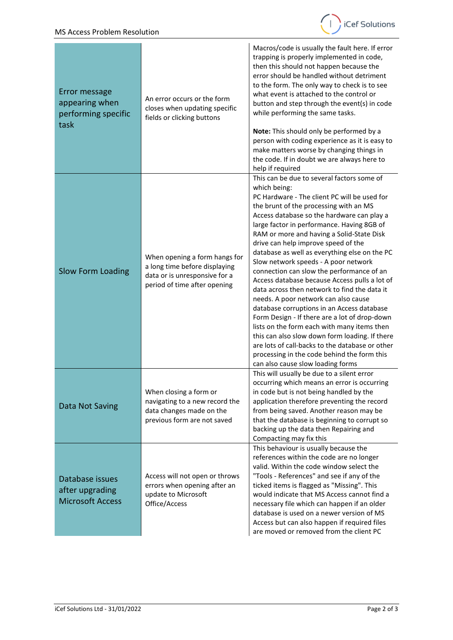

| Error message<br>appearing when<br>performing specific<br>task | An error occurs or the form<br>closes when updating specific<br>fields or clicking buttons                                      | Macros/code is usually the fault here. If error<br>trapping is properly implemented in code,<br>then this should not happen because the<br>error should be handled without detriment<br>to the form. The only way to check is to see<br>what event is attached to the control or<br>button and step through the event(s) in code<br>while performing the same tasks.<br>Note: This should only be performed by a<br>person with coding experience as it is easy to<br>make matters worse by changing things in<br>the code. If in doubt we are always here to                                                                                                                                                                                                                                                                                                                                                |
|----------------------------------------------------------------|---------------------------------------------------------------------------------------------------------------------------------|--------------------------------------------------------------------------------------------------------------------------------------------------------------------------------------------------------------------------------------------------------------------------------------------------------------------------------------------------------------------------------------------------------------------------------------------------------------------------------------------------------------------------------------------------------------------------------------------------------------------------------------------------------------------------------------------------------------------------------------------------------------------------------------------------------------------------------------------------------------------------------------------------------------|
|                                                                |                                                                                                                                 | help if required<br>This can be due to several factors some of                                                                                                                                                                                                                                                                                                                                                                                                                                                                                                                                                                                                                                                                                                                                                                                                                                               |
| <b>Slow Form Loading</b>                                       | When opening a form hangs for<br>a long time before displaying<br>data or is unresponsive for a<br>period of time after opening | which being:<br>PC Hardware - The client PC will be used for<br>the brunt of the processing with an MS<br>Access database so the hardware can play a<br>large factor in performance. Having 8GB of<br>RAM or more and having a Solid-State Disk<br>drive can help improve speed of the<br>database as well as everything else on the PC<br>Slow network speeds - A poor network<br>connection can slow the performance of an<br>Access database because Access pulls a lot of<br>data across then network to find the data it<br>needs. A poor network can also cause<br>database corruptions in an Access database<br>Form Design - If there are a lot of drop-down<br>lists on the form each with many items then<br>this can also slow down form loading. If there<br>are lots of call-backs to the database or other<br>processing in the code behind the form this<br>can also cause slow loading forms |
| Data Not Saving                                                | When closing a form or<br>navigating to a new record the<br>data changes made on the<br>previous form are not saved             | This will usually be due to a silent error<br>occurring which means an error is occurring<br>in code but is not being handled by the<br>application therefore preventing the record<br>from being saved. Another reason may be<br>that the database is beginning to corrupt so<br>backing up the data then Repairing and<br>Compacting may fix this                                                                                                                                                                                                                                                                                                                                                                                                                                                                                                                                                          |
| Database issues<br>after upgrading<br><b>Microsoft Access</b>  | Access will not open or throws<br>errors when opening after an<br>update to Microsoft<br>Office/Access                          | This behaviour is usually because the<br>references within the code are no longer<br>valid. Within the code window select the<br>"Tools - References" and see if any of the<br>ticked items is flagged as "Missing". This<br>would indicate that MS Access cannot find a<br>necessary file which can happen if an older<br>database is used on a newer version of MS<br>Access but can also happen if required files<br>are moved or removed from the client PC                                                                                                                                                                                                                                                                                                                                                                                                                                              |